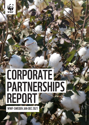

# **REURALI**<br>RTNERCI CORPORATE **PARTNERSHIPS** REPORT

WWF-SWEDEN JAN-DEC 2021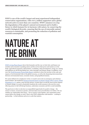WWF is one of the world's largest and most experienced independent conservation organizations, with over 5 million supporters and a global network active in more than 100 countries. WWF's mission is to stop the degradation of the planet's natural environment and to build a future in which humans live in harmony with nature, by conserving the world's biological diversity, ensuring that the use of renewable natural resources is sustainable, and promoting the reduction of pollution and wasteful consumption.

# NATURE AT THE BRINK

WWF's Living Planet Report shows that humanity and the way we feed, fuel, and finance our societies and economies is pushing nature and the services that power and sustain us to the brink. Agricultural expansion, deforestation, overfishing, urban development, energy use, mining and pollution are all driving habitat loss, water shortages and climate change. In addition, every year, the World Economic Forum Risks Report continues to show the increase in the scale and urgency of environmental risks to the global economy, as well as the deepening interconnections between environmental issues, economic strains, and geopolitical tensions.

We cannot afford to be complacent. In fact, we need to move into an emergency and solutionsbased mindset. The landmark Intergovernmental Panel on Climate Change (IPCC) report, Global Warming of 1.5  $\Box$ , paints a clear but dire picture. It states that to avoid the most serious impacts of climate change, we need to drastically transform the world economy in the next few years. Allowing nature to fail will disrupt business, undermine economies and drive social instability.

The good news is that we also have an unparalleled opportunity for positive change – the science is clearer, awareness is greater, and innovation more powerful than ever before. We can redefine our relationship with nature – but we need to work together. One organisation alone cannot deliver the change we need. That is why WWF collaborates with business – working in partnership – to find solutions and act at a scale that matters.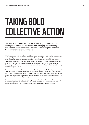# TAKING BOLD COLLECTIVE ACTION

The time to act is now. We have put in place a global conservation strategy that reflects the way the world is changing, meets the big environmental challenges of the age and helps us simplify, unite and focus our efforts for greater impact.

WWF continues to deliver locally in crucial ecoregions around the world, but sharpen our focus on six global goals – wildlife, forests, oceans, freshwater, climate and energy, and food – and three key drivers of environmental degradation – markets, finance and governance. We are creating global communities of practice for each of the goals and drivers composed of specialists from WWF and key external partners. This will foster greater collaboration and innovation, incubating new ideas and taking promising ones to scale, as we unite our efforts toward making ambitious targets a reality.

We know that one organization alone can't effect the change needed. That is why our work on the goals and drivers includes our partnerships with institutions and corporations, both local and global. The changes we want to see in the world can only come about through the efforts of many actors: local communities and national and multinational corporations, governments and NGOs, finance institutions and development agencies, consumers and researchers.

There has never been a stronger sense of urgency for action. In WWF we are defining new ways of working together to make a difference at a scale that matters. We know we must redefine humanity's relationship with the planet. And together we passionately believe we can.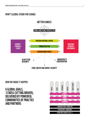### WWF'S GLOBAL VISION FOR CHANGE WWF'S GLOBAL VISION FOR CHANGE



### HOW WE MAKE IT HAPPEN

6 GLOBAL GOALS, 3 CROSS-CUTTING DRIVERS, DELIVERED BY POWERFUL COMMUNITIES OF PRACTICE AND PARTNERS

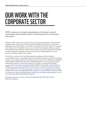## OUR WORK WITH THE CORPORATE SECTOR

### WWF's mission is to stop the degradation of the planet's natural environment and to build a future in which humans live in harmony with nature.

Therefore, WWF seeks to work with those who have the greatest potential to reduce the most pressing threats to the diversity of life on Earth and together find solutions to conservation challenges such as deforestation, over-fishing, water scarcity and climate change. The corporate sector drives much of the global economy, so we consider that companies also have a specific responsibility to ensure that the natural resources and ecosystems that underpin their business are used sustainably. Companies are also primed to lead on rapid adaptation and on the innovative solutions needed to drive change.

We do this in a variety of ways, including supporting regulations that stop illegal or unsustainable activities, encouraging companies and industry platforms such as the UN Global Compact, Science Based Targets, the Consumer Goods Forum) to make ambitious commitments (and to engage in public policy discussions at global and local level, and supporting credible certification schemes (e.g. Forest Stewardship Council (FSC), Aquaculture Stewardship Council (ASC), Roundtable on Sustainable Palm Oil (RSPO), Roundtable on Responsible Soy (RTRS), Better Cotton Initiative (BCI)). We also publish scorecards and reports on company or sector performance (e.g. palm oil scorecard; soy scorecard, and sustainable cotton ranking), mobilize public pressure through high-profile campaigns on issues related to business activities (e.g. Business for Nature, Build Back Better, Coalition to end wildlife trafficking online), as well as work in partnership with individual companies.

This report presents an overview of the partnerships that this WWF office has with individual companies.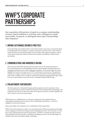## WWF'S CORPORATE PARTNERSHIPS

Our cooperation with partners is based on a common understanding of issues, shared ambitions or activities, and a willingness to speak out in public. In general, we distinguish three types of partnerships with companies:

### 1. DRIVING SUSTAINABLE BUSINESS PRACTICES

Our partnerships aim to deliver direct conservation results on key issues or in priority places by changing practices throughout a company's operations and value chain. These intend to reduce the major environmental impacts of some of the world's largest companies, achieve conservation results that would not otherwise be possible, and influence related sectors and markets.

### 2. COMMUNICATIONS AND AWARENESS RAISING

The second way that WWF partners with the private sector is by raising awareness of key environmental issues and mobilizing consumer action through communications and campaigns (including cause-related marketing campaigns). These partnerships also aim to highlight the beauty and uniqueness of WWF's priority places and species. This approach includes, for example, consumer actions to encourage the purchase of sustainable products such as FSC-certified wood, or results in companies supporting campaigns that inspire action in favour of special places such as the Arctic or endangered species like the tiger.

### 3. PHILANTHROPIC PARTNERSHIPS

The third approach is articulated through specific programmes with companies to fund conservation projects and the institutions that deliver them. Philanthropic relationships with companies raise money for the conservation of key places and species, and the capability and tools to deliver such conservation impact.

WWF partners on a philanthropic or awareness-raising level with companies that are undertaking substantial action to improve their sustainability performance, or that have negligible environmental impacts.

Many partnerships with companies use a combination of these approaches.

WWF works with companies to achieve our conservation goals. NGO and company partnerships involve engaging in constructive dialogue while challenging each other with real issues. As such, they involve opportunities and risks for both parties. At WWF, we manage the risks by having clear guidelines and criteria in place, including a due diligence process. In all relationships, we maintain and exercise the right to public commentary.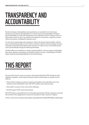## TRANSPARENCY AND ACCOUNTABILITY

Results and impact, both qualitative and quantitative, are essential for us. We advocate transparency in action by all stakeholders as a crucial step toward sustainability. We believe that accountability for results and transparency to our supporters and our members on how we deliver those results are key to our approach of working in a constructive, cooperative manner with all our partners, including the corporate sector.

We want all our partnerships with companies to deliver the greatest impact possible, with the goal of creating lasting results at scale. We have, therefore, started a process of deeper and more systematic assessment of the targets and the outcomes we achieve in our work with the private sector and specifically through our bilateral partnerships.

All WWF offices are committed to continue reporting publicly on all our company relationships, their intent, objectives and impacts, of which this report is one part. A Global Report of WWF's largest corporate partnerships globally can also be found here.

# THIS REPORT

The aim of this report is to give an overview of the partnerships that WWF-Sweden has with individual companies. Funds obtained through corporate partnerships are typically used by WWF to:

- Work with the company to reduce its impacts and footprint and to help shift sectors and markets toward sustainability in line with WWF's global conservation strategy;
- Raise public awareness of key conservation challenges;
- Directly support WWF conservation projects.

This WWF office is responsible for the (contractual) agreement(s) with the companies concerned. The activities of the engagements in many cases take place in other countries or regions.

In FY21, income from corporate partnerships represented 18 % of this WWF office's total income.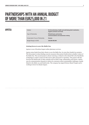### APOTEA

Industry **On-line pharmacy, health and well-being (both medication, hygiene products and food)** Type of Partnership **Philanthropic partnership Communications and awareness raising** Conservation Focus of Partnership **Oceans** Budget Range (in EUR) **250,000-500,000**

#### **Joining forces to save the Baltic Sea**

Apotea is one of Swedens largest online pharmacy services.

Apotea raises funds from their clients to save the Baltic Sea. In 2020 they funded two projects. The first project is about finding concrete measures that protect biodiversity in shallow waters of the Baltic Sea. The second project is about restoring a wetland on the island Ålö in the Stockholm archipelago to make it easier for fish such as pike and perch to reproduce. The project will also increase the biodiversity of other animals such as birds, frogs, salamanders and insects. Apotea uses its communication channels to inform its customers about sustainability challenges, mainly linked to the Baltic sea and biodiversity. The company has signed Science Based Targets and is working to lower its climate impact.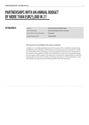### **ASTRAZENECA**

Conservation Focus of Partnership **Freshwater**

Industry **Pharmaceuticals & Biotechnology** Type of Partnership **Driving sustainable business practices**

Budget Range (in EUR) **25,000-100,000**

#### **Driving water stewardship in the pharma industry**

AstraZeneca is a leading global pharmaceutical companies with a significant manufacturing and R&D presence in Sweden. WWF Sweden and AstraZeneca in 2020 entered into a multiyear partnership with an initial focus on water stewardship. Based on water risk analyses of the company's sites globally in WWF's Water Risk Filter, current water stewardship strategy for the company will be updated with intention to be followed by implementation of collective action projects in relevant river basins. AstraZeneca also sets out to take leadership on water stewardship in the pharmaceutical industry together with other companies.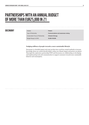### DOCONOMY

Conservation Focus of Partnership **Climate & Energy** Budget Range (in EUR) **25,000-100,000**

Industry **Fintech** Type of Partnership **Communications and awareness raising**

### **Nudging millions of people towards a more sustainable lifestyle**

Doconomy is a Swedish impact-tech start up that since 2018 has created methods to increase knowledge about our carbon dioxide habits, reduce our climate impact and protect our planet. Thorough this exploratory partnership WWF and Doconomy are collaborating on developing and implementing tools and communication to support consumers towards more sustainable behavior and consumption.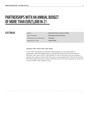### **ELECTROLUX**

| Industry                                 |
|------------------------------------------|
| Type of Partnership                      |
| <b>Conservation Focus of Partnership</b> |
| Budget Range (in EUR)                    |

**Household Goods, Furniture & Textiles Sustainable business practices Freshwater** Budget Range (in EUR) **25,000-100,000**

#### **Analysis water risks in the value chain**

In 2021 WWF and Electrolux continuted working together on water stewardship. In collaboration with WWF's global experts in the field, the parties carried out an analysis of Electrolux water risks in WWF's water risk filter in order to determine where the company's material water risks are located. This will result in recommendations that will form the basis for Electrolux's forthcoming water strategy. Electrolux was one of the first companies to use the first version of WWF's water risk filter in 2013.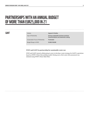### GANT

Industry **Apparel & Textiles** 

Type of Partnership **Driving sustainable business practices Communications and awareness raising**

Conservation Focus of Partnership **Freshwater**

Budget Range (in EUR) **25,000-100,000**

### **WWF and GANT in partnership for sustainable water use**

WWF and GANT started collaborating in 2021 to develop a water strategy for GANT's operations based on WWF's Water Stewardship model. During 2021 a first water risk assessment was initiated using WWF's Water Risk Filter.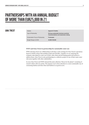### GINA TRICOT

Industry **Apparel & Textiles**  Type of Partnership **Driving sustainable business practices Communications and awareness raising**

Conservation Focus of Partnership **Freshwater**

Budget Range (in EUR) **25,000-100,000**

**WWF and Gina Tricot in partnership for sustainable water use** 

WWF and Gina Tricot are collaborating to develop a water strategy for Gina Tricot's operations based on WWF's Water Stewardship model and risk filter. Together we are analyzing the company risks linked to water use in their value chain and developing goals and actions to address them. Gina Tricot is also participating in a collective project in one of their main water risk areas together with other stakeholders.

In 2021 Gina Tricot and WWF released the joint collection "Reuse for the planet" consisting of reused t-shirts with new prints. The purpose was to draw attention to a more sustainable way of consuming fashion and show that used fashion is as good as new.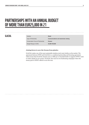### **GLACIAL**

| Industry                                 | Retail                               |
|------------------------------------------|--------------------------------------|
| Type of Partnership                      | Communications and awareness raising |
| <b>Conservation Focus of Partnership</b> | Oceans                               |
| Budget Range (in EUR)                    | 25,000-100,000                       |

### **Joining forces to save the Oceans from plastics**

GLACIAL makes one of the most sustainable stainless steel water bottles on the market. The agreement between WWF and GLACIAL is a combined partnership and licensing agreement, which means that GLACIAL donates circa 10 SEK per co-branded bottle to supports WWF's work to reduce plastic in our oceans. GLACIAL also runs its own fundraising campaigns where the money goes to WWF's efforts to save the seas.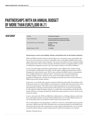### H&M GROUP

Conservation Focus of Partnership **Climate & Energy** Budget Range (in EUR) **1-3 million**

#### Industry **Clothing and apparel**

Type of Partnership **Driving sustainable business practices Communications and awareness raising**

> **Forests Biodiversity**

#### **Partnering on water stewardship, climate and biodiversity in the fashion industry**

WWF and H&M Group first entered a partnership in 2011, focusing on water stewardship. The aim was to raise awareness, to improve responsible water use throughout H&M Group's entire supply chain and to inspire other companies. The water stewardship work has included multiple basin projects from China to Turkey and also calls fashion brands to join global collective action on setting best management practise and water targets relating to 2030 SDG 6 fulfilment.

In 2016, the partnership expanded to include climate action. H&M Group's climate strategy was developed in collaboration with WWF, with the target of H&M becoming climate positive throughout its value chain by 2040. WWF is also working with H&M Group to create guidance and a credible definition for 'Climate Positive'. During 2016-2020 the partnership had a 'strategic dialogue' stream, with focus on key issues in the fashion industry, such as raw materials and biodiversity, with the aim of bringing sustainable and science-based solutions to H&M Group and the broader industry.

In late 2020, a new biodiversity stream was formed within the partnership. The ambition of the biodiversity stream is to reduce H&M's overall pressures on biodiversity and nature and to strive towards net-gain impacts. This will be done by addressing impacts of raw material sourcing and production, increasing overall awareness of the urgency to act on nature loss and aiming to scale solutions within the fashion industry. To achieve the overall ambition, the biodiversity stream will focus on strategy development, biodiversity impact projects as well as advocacy and awareness raising.

In 2010, 2016 and 2018, WWF and H&M also collaborated on a clothing collections made from more sustainable materials. The goal of these collaborations was to inspire H&M customers to care for the planet and to raise funds for WWF's species and marine work.

The overall ambition of the partnership is "United in a vision for a sustainable future for people and nature, H&M Group and WWF will address key environmental impacts in the H&M Group value chain and beyond, with a special focus on water, climate and biodiversity. Our work aims to lead the fashion industry towards solutions that fit within the boundaries of our planet."

Member of Climate Savers.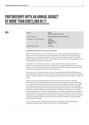### IKEA

| Industry                                 | Retail<br><b>Household goods and textiles</b>                             |
|------------------------------------------|---------------------------------------------------------------------------|
| Type of Partnership                      | Driving sustainable business practices                                    |
| <b>Conservation Focus of Partnership</b> | <b>Forests</b><br><b>Freshwater</b><br>Markets (cotton)<br><b>Climate</b> |
| Budget Range (in EUR)                    | >3 million                                                                |

#### **Transforming business for people and planet**

IKEA and WWF have been in partnership since 2002, and are currently working together on forests, cotton, water and climate to protect landscapes and enhance biodiversity. Through engagement in 15 countries, innovation and advocacy, the partnership supports responsible forest management, sustainable cotton value chains, healthy water flows and management, and a strengthened climate positive commitment.

The ambition is to take action to protect, manage and restore key landscapes, enhance biodiversity and enable a climate positive value chain; while upholding the rights and needs of people. As well as contribute to improve and provide knowledge and facts to inspire and enable sustainable consumption in support of a One Planet future.

Even after 20 years, this partnership continues to be pioneering and leading, building on our shared learnings to challenge ourselves to develop and implement new approaches and solutions to deliver improved natural resources management with positive and fair benefits for people and nature.

Natural resources and ecosystems that provide critical ecosystem services, sustainable livelihoods, and that underpin businesses must be used responsibly and managed sustainably. In 13 countries across Europe and Asia, the forest partnership continues to protect and expand resilient forest landscapes and enhance forest biodiversity in priority areas while supporting responsible forest management. We improve forest management practices in natural forests and plantations, establish and strengthen standards and verification mechanisms for responsible forest management and enable their implementation. We strengthen engagement and pathways towards improved governance frameworks, national policies and legislation, and we empower communities and smallholders exercising forest stewardship and conserving ecosystem services in decision making, increased benefit sharing and sustainable livelihoods, including through improved market linkages.

In 2021 IKEA joined the Science Based Targets Network (SBTN) Corporate Engagement programme and the business call for the UN Treaty on Plastic Pollution.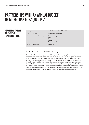### NOVAMEDIA SVERIGE AB, SVENSKA **POSTKODLOTTERIET**

Industry **Media, Communications & Entertainment**  Type of Partnership **Philanthropic partnership** Conservation Focus of Partnership **Climate & Energy Food** Budget Range (in EUR) **1-3 million**

**Oceans Wildlife General support**

### **Swedish Postcode Lottery & WWF partnership**

The Swedish Postcode Lottery was established by the Dutch company Novamedia, in order to raise funds for charities and increase awareness for their work. Novamedia operates lotteries in the Netherlands, Sweden, the UK, Germany and Norway and WWF is a beneficiary to the lotteries in all five countries. In Sweden, WWF is one of about 60 beneficiaries to the Swedish Postcode Lottery, and has been so since the lottery's inception in 2005. The support from the Swedish Postcode Lottery has contributed to a wide range of important projects, both in Sweden and globally. It has helped WWF to scale up existing projects, pursue more activities and achieve faster results. In addition to supporting WWF's operations through unearmarked support, the lottery has also financed a number "Dream Project" through dedicated project support.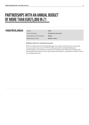### PANDAFÖRSÄLJNINGEN

Industry **Retail**  Type of Partnership **Philanthropic partnership** Conservation Focus of Partnership **Wildlife** Budget Range (in EUR) **500,000-1 million**

### **Helping youth save endangered species**

WWF has collaborated with Pandaförsäljningen since 1983. In the fall each year, thousands of young people raise money for WWF by selling products from Pandaförsäljningen's product catalogue. The products are selected in consultation with WWF and are chosen with sustainability performance in mind. Each product sold includes a contribution to WWF's work to save endangered species.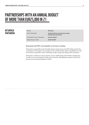### **RETURPACK** PANTAMERA

| Industry                                 | Recycling                                                                |
|------------------------------------------|--------------------------------------------------------------------------|
| Type of Partnership                      | <b>Communications and awareness raising</b><br>Philanthropic partnership |
| <b>Conservation Focus of Partnership</b> | <b>General support</b>                                                   |
| Budget Range (in EUR)                    | 25,000-100,000                                                           |

#### **Returpack and WWF work together to increase recycling**

Returpack is responsible for the Swedish deposit system of cans and PET bottles used for the consumption of beverages. The recycling of cans and PET bottles makes a big difference to the environment, especially in terms of littering, energy savings and cutting carbon emissions.

Returpack is working on various projects, such as collaborating with Swedish camping sites, in order to increase recycling of empty cans in Sweden. Through these projects several of its partners have provided donations to WWF.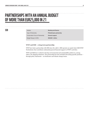Type of Partnership **Philanthropic partnership** Conservation Focus of Partnership **General support** Budget Range (in EUR) **500,000-1 million**

Industry **Banking and finance**

#### **WWF and SEB – a long-term partnership**

WWF have had a partnership with SEB since the 1980's. SEB operates an equity fund, SEB WWF Nordenfond, that contributes substantial general financial support to WWF's activities.

WWF and SEB have worked to develop environmental and sustainability policies in, among others, the shipping industries. The partnership has also included advocating specific positions – through policy statements – on freshwater and climate change issues.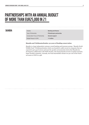### SKANDIA

Industry **Banking and finance** Type of Partnership **Philanthropic partnership** Conservation Focus of Partnership **General support** Budget Range (in EUR) **1-3 million**

#### **Skandia and Världsnaturfonden: 32 years of funding conservation**

Skandia is a large independent customer owned banking and insurance groups, "Skandia World Wildlife Fund" (Världsnaturfonden) which was founded in 1988, invests in companies that are expected to give good returns and meet the specific environmental criteria that Skandia has developed in collaboration with WWF-Sweden. The Fund primarily invests in equities issued by larger Swedish companies. Annually, the Fund shareholders donate two per cent of the Fund's net assets to WWF as a gift.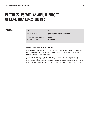### STROMMA

Industry **Tourism**  Type of Partnership **Communications and awareness raising Philanthropic partnership** Conservation Focus of Partnership **Oceans** Budget Range (in EUR) **25,000-100,000**

#### **Working together to save the Baltic Sea**

Strömma Turism & Sjöfart AB is one of Scandinavia's largest tourism and sightseeing companies with over 30 brands in the tourism and transport industry. Stromma operates in Sweden, Denmark, Finland, Norway and Holland.

The collaboration between WWF and Stromma is a partnership to help save the Baltic Sea. It involves both regional work to save the sensitive environments of the Baltic sea and local conservation projects in Denmark, Finland and Sweden. In addition, Stromma is taking steps to improve its own business practices and reduce its impact in the environments where it operates.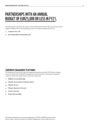### PARTNERSHIPS WITH AN ANNUAL BUDGET OF EUR25,000 OR LESS IN FY21,

The following list represents all corporate partnerships that this WWF office has with an annual budget of EUR25,000 or less (including pro bono or in-kind contributions) in FY21.

- **1. Compete Now AB**
- **2. Keramikstudion Gustavsberg AB**

### CORPORATE ENGAGEMENT PLATFORMS

The following list represents corporate engagement platforms that this WWF office is leading or part of and involves multilateral engagements with companies to bring about sustainable outcomes within their supply chain or consumer behaviours.

- **1. Hållbar Livsmedelskedja**
- **2. Climate Innovations & Climate Solver**
- **3. Climate Savers**
- **4. Climate Business Network**
- **5. Forest Forward**
- **6. Water Stewardship**